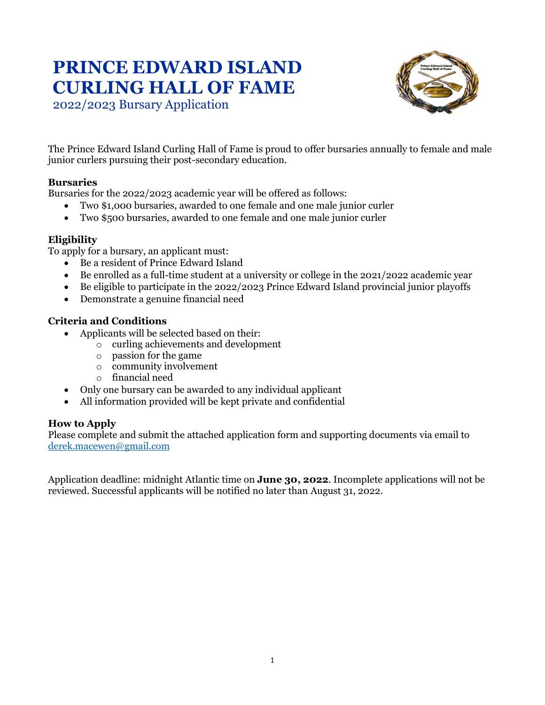# **PRINCE EDWARD ISLAND CURLING HALL OF FAME**



2022/2023 Bursary Application

The Prince Edward Island Curling Hall of Fame is proud to offer bursaries annually to female and male junior curlers pursuing their post-secondary education.

#### **Bursaries**

Bursaries for the 2022/2023 academic year will be offered as follows:

- Two \$1,000 bursaries, awarded to one female and one male junior curler
- Two \$500 bursaries, awarded to one female and one male junior curler

### **Eligibility**

To apply for a bursary, an applicant must:

- Be a resident of Prince Edward Island
- Be enrolled as a full-time student at a university or college in the 2021/2022 academic year
- Be eligible to participate in the 2022/2023 Prince Edward Island provincial junior playoffs
- Demonstrate a genuine financial need

### **Criteria and Conditions**

- Applicants will be selected based on their:
	- o curling achievements and development
	- o passion for the game
	- o community involvement
	- o financial need
- Only one bursary can be awarded to any individual applicant
- All information provided will be kept private and confidential

### **How to Apply**

Please complete and submit the attached application form and supporting documents via email to [derek.macewen@gmail.com](mailto:derek.macewen@gmail.com)

Application deadline: midnight Atlantic time on **June 30, 2022**. Incomplete applications will not be reviewed. Successful applicants will be notified no later than August 31, 2022.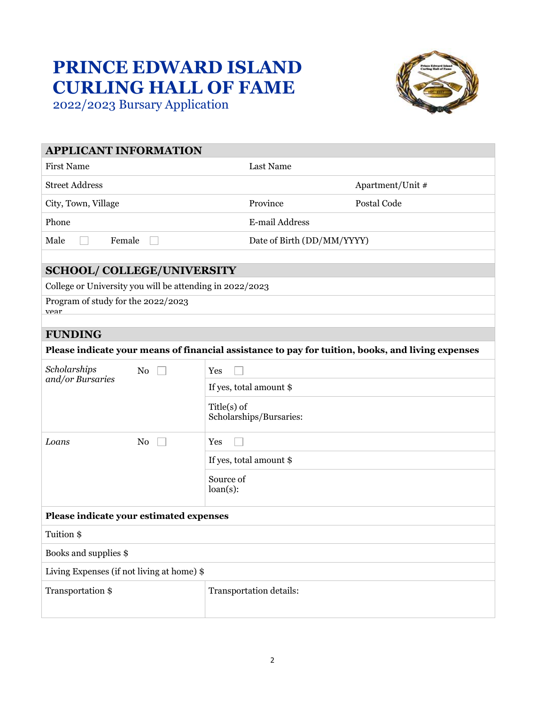## **PRINCE EDWARD ISLAND CURLING HALL OF FAME** 2022/2023 Bursary Application



| <b>APPLICANT INFORMATION</b>                                                                      |                                          |                  |
|---------------------------------------------------------------------------------------------------|------------------------------------------|------------------|
| <b>First Name</b>                                                                                 | Last Name                                |                  |
| <b>Street Address</b>                                                                             |                                          | Apartment/Unit # |
| City, Town, Village                                                                               | Province                                 | Postal Code      |
| Phone                                                                                             | E-mail Address                           |                  |
| Male<br>Female                                                                                    | Date of Birth (DD/MM/YYYY)               |                  |
|                                                                                                   |                                          |                  |
| <b>SCHOOL/ COLLEGE/UNIVERSITY</b>                                                                 |                                          |                  |
| College or University you will be attending in 2022/2023                                          |                                          |                  |
| Program of study for the 2022/2023<br>vear                                                        |                                          |                  |
|                                                                                                   |                                          |                  |
| <b>FUNDING</b>                                                                                    |                                          |                  |
| Please indicate your means of financial assistance to pay for tuition, books, and living expenses |                                          |                  |
| Scholarships<br>No                                                                                | Yes                                      |                  |
| and/or Bursaries                                                                                  | If yes, total amount \$                  |                  |
|                                                                                                   | $Title(s)$ of<br>Scholarships/Bursaries: |                  |
| Loans<br>N <sub>0</sub>                                                                           | Yes                                      |                  |
|                                                                                                   | If yes, total amount \$                  |                  |
|                                                                                                   | Source of<br>$loan(s)$ :                 |                  |
| Please indicate your estimated expenses                                                           |                                          |                  |
| Tuition \$                                                                                        |                                          |                  |
| Books and supplies \$                                                                             |                                          |                  |
| Living Expenses (if not living at home) \$                                                        |                                          |                  |
| Transportation \$                                                                                 | Transportation details:                  |                  |